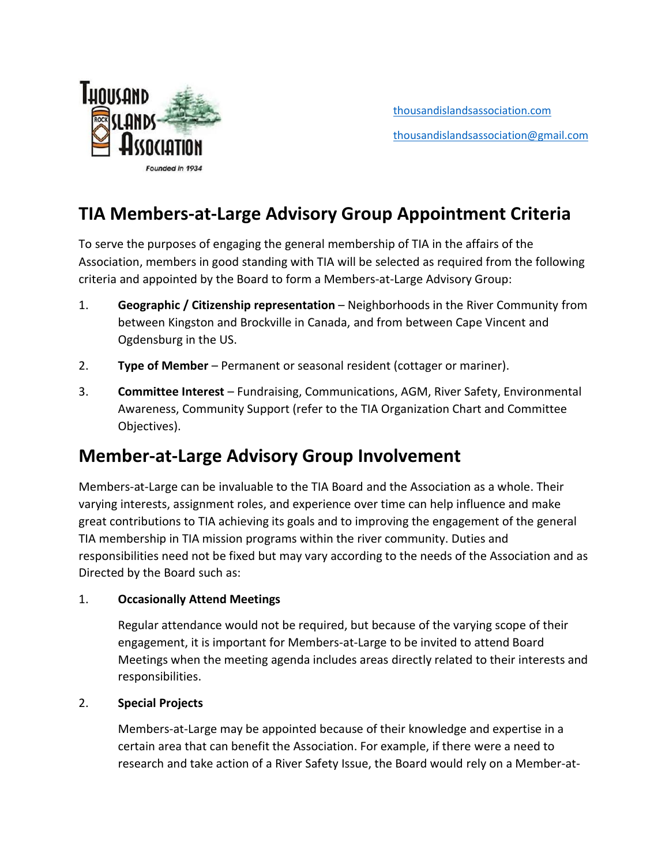

[thousandislandsassociation.com](https://thousandislandsassociation.com/) [thousandislandsassociation@gmail.com](mailto:thousandislandsassociation@gmail.com%0d)

## **TIA Members-at-Large Advisory Group Appointment Criteria**

To serve the purposes of engaging the general membership of TIA in the affairs of the Association, members in good standing with TIA will be selected as required from the following criteria and appointed by the Board to form a Members-at-Large Advisory Group:

- 1. **Geographic / Citizenship representation** Neighborhoods in the River Community from between Kingston and Brockville in Canada, and from between Cape Vincent and Ogdensburg in the US.
- 2. **Type of Member** Permanent or seasonal resident (cottager or mariner).
- 3. **Committee Interest** Fundraising, Communications, AGM, River Safety, Environmental Awareness, Community Support (refer to the TIA Organization Chart and Committee Objectives).

### **Member-at-Large Advisory Group Involvement**

Members-at-Large can be invaluable to the TIA Board and the Association as a whole. Their varying interests, assignment roles, and experience over time can help influence and make great contributions to TIA achieving its goals and to improving the engagement of the general TIA membership in TIA mission programs within the river community. Duties and responsibilities need not be fixed but may vary according to the needs of the Association and as Directed by the Board such as:

#### 1. **Occasionally Attend Meetings**

Regular attendance would not be required, but because of the varying scope of their engagement, it is important for Members-at-Large to be invited to attend Board Meetings when the meeting agenda includes areas directly related to their interests and responsibilities.

#### 2. **Special Projects**

Members-at-Large may be appointed because of their knowledge and expertise in a certain area that can benefit the Association. For example, if there were a need to research and take action of a River Safety Issue, the Board would rely on a Member-at